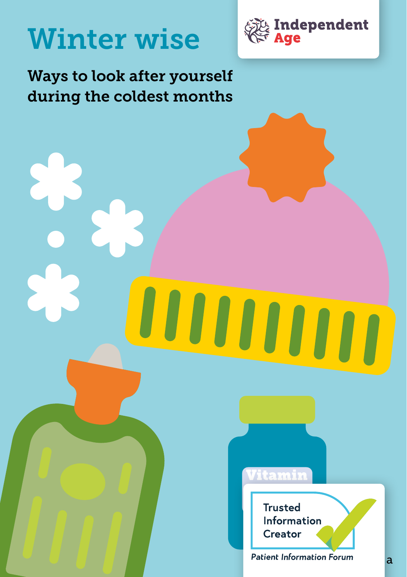# Winter wise



Vitamin

<u>IIIIIIII</u>

Trusted<br>Information

**Patient Information Forum** 

Creator

Ways to look after yourself during the coldest months

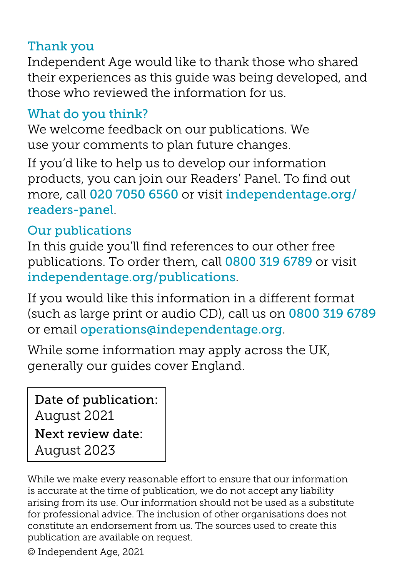#### Thank you

Independent Age would like to thank those who shared their experiences as this guide was being developed, and those who reviewed the information for us.

#### What do you think?

We welcome feedback on our publications. We use your comments to plan future changes.

If you'd like to help us to develop our information products, you can join our Readers' Panel. To find out more, call 020 7050 6560 or visit [independentage.org/](http://independentage.org/readers-panel) [readers-panel](http://independentage.org/readers-panel).

#### Our publications

In this guide you'll find references to our other free publications. To order them, call 0800 319 6789 or visit [independentage.org/publications](http://independentage.org/publications ).

If you would like this information in a different format (such as large print or audio CD), call us on 0800 319 6789 or email [operations@independentage.org](mailto:operations@independentage.org).

While some information may apply across the UK, generally our guides cover England.

Date of publication: August 2021 Next review date: August 2023

While we make every reasonable effort to ensure that our information is accurate at the time of publication, we do not accept any liability arising from its use. Our information should not be used as a substitute for professional advice. The inclusion of other organisations does not constitute an endorsement from us. The sources used to create this publication are available on request.

© Independent Age, 2021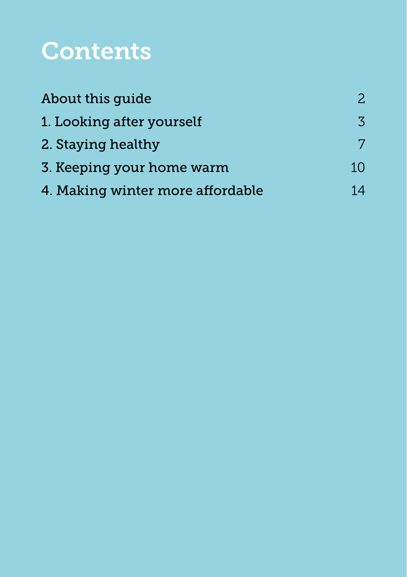# **Contents**

| About this guide<br>1. Looking after yourself<br>2. Staying healthy | $\overline{2}$<br>3 |                                  |    |
|---------------------------------------------------------------------|---------------------|----------------------------------|----|
|                                                                     |                     | 3. Keeping your home warm        | 10 |
|                                                                     |                     | 4. Making winter more affordable | 14 |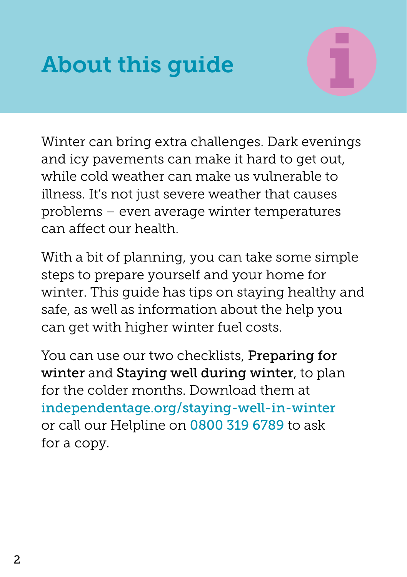# <span id="page-3-0"></span>About this guide



Winter can bring extra challenges. Dark evenings and icy pavements can make it hard to get out, while cold weather can make us vulnerable to illness. It's not just severe weather that causes problems – even average winter temperatures can affect our health.

With a bit of planning, you can take some simple steps to prepare yourself and your home for winter. This guide has tips on staying healthy and safe, as well as information about the help you can get with higher winter fuel costs.

You can use our two checklists, Preparing for winter and Staying well during winter, to plan for the colder months. Download them at [independentage.org/staying-well-in-winter](http://independentage.org/staying-well-in-winter) or call our Helpline on 0800 319 6789 to ask for a copy.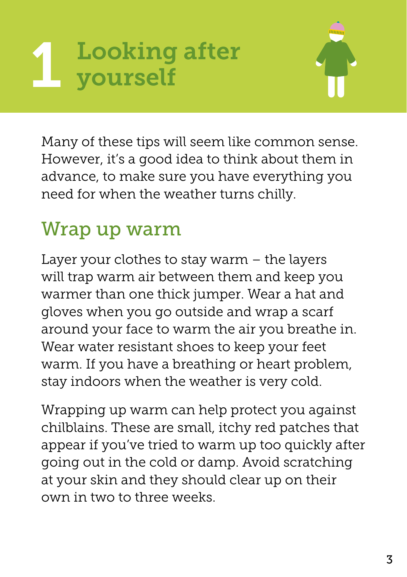# <span id="page-4-0"></span>1 Looking after<br>1 yourself yourself



Many of these tips will seem like common sense. However, it's a good idea to think about them in advance, to make sure you have everything you need for when the weather turns chilly.

# Wrap up warm

Layer your clothes to stay warm – the layers will trap warm air between them and keep you warmer than one thick jumper. Wear a hat and gloves when you go outside and wrap a scarf around your face to warm the air you breathe in. Wear water resistant shoes to keep your feet warm. If you have a breathing or heart problem, stay indoors when the weather is very cold.

Wrapping up warm can help protect you against chilblains. These are small, itchy red patches that appear if you've tried to warm up too quickly after going out in the cold or damp. Avoid scratching at your skin and they should clear up on their own in two to three weeks.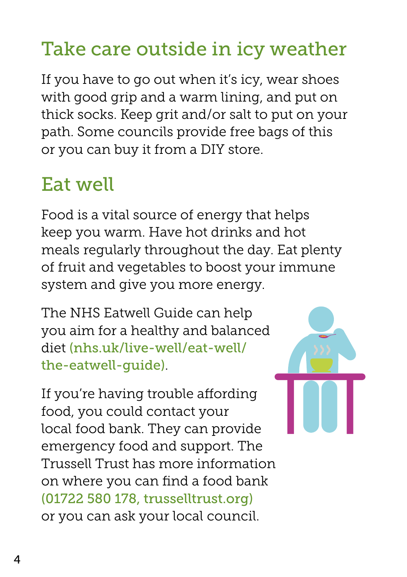# Take care outside in icy weather

If you have to go out when it's icy, wear shoes with good grip and a warm lining, and put on thick socks. Keep grit and/or salt to put on your path. Some councils provide free bags of this or you can buy it from a DIY store.

#### Eat well

Food is a vital source of energy that helps keep you warm. Have hot drinks and hot meals regularly throughout the day. Eat plenty of fruit and vegetables to boost your immune system and give you more energy.

The NHS Eatwell Guide can help you aim for a healthy and balanced diet ([nhs.uk/live-well/eat-well/](http://nhs.uk/live-well/eat-well/the-eatwell-guide) [the-eatwell-guide\)](http://nhs.uk/live-well/eat-well/the-eatwell-guide).

If you're having trouble affording food, you could contact your local food bank. They can provide emergency food and support. The Trussell Trust has more information on where you can find a food bank (01722 580 178, [trusselltrust.org\)](http://trusselltrust.org) or you can ask your local council.

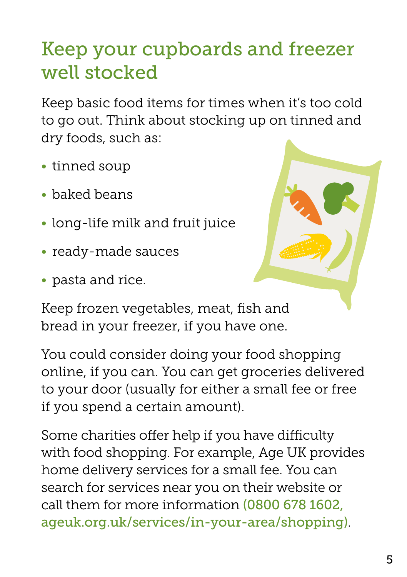#### Keep your cupboards and freezer well stocked

Keep basic food items for times when it's too cold to go out. Think about stocking up on tinned and dry foods, such as:

- tinned soup
- baked beans
- long-life milk and fruit juice
- ready-made sauces
- pasta and rice.



Keep frozen vegetables, meat, fish and bread in your freezer, if you have one.

You could consider doing your food shopping online, if you can. You can get groceries delivered to your door (usually for either a small fee or free if you spend a certain amount).

Some charities offer help if you have difficulty with food shopping. For example, Age UK provides home delivery services for a small fee. You can search for services near you on their website or call them for more information (0800 678 1602, [ageuk.org.uk/services/in-your-area/shopping\)](http://ageuk.org.uk/services/in-your-area/shopping).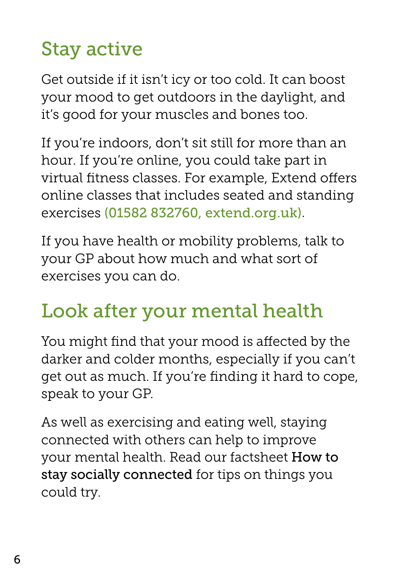# Stay active

Get outside if it isn't icy or too cold. It can boost your mood to get outdoors in the daylight, and it's good for your muscles and bones too.

If you're indoors, don't sit still for more than an hour. If you're online, you could take part in virtual fitness classes. For example, Extend offers online classes that includes seated and standing exercises (01582 832760, [extend.org.uk\)](http://extend.org.uk).

If you have health or mobility problems, talk to your GP about how much and what sort of exercises you can do.

#### Look after your mental health

You might find that your mood is affected by the darker and colder months, especially if you can't get out as much. If you're finding it hard to cope, speak to your GP.

As well as exercising and eating well, staying connected with others can help to improve your mental health. Read our factsheet How to stay socially connected for tips on things you could try.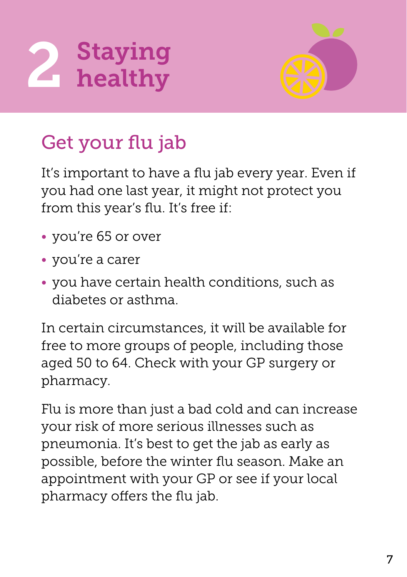<span id="page-8-0"></span>



# Get your flu jab

It's important to have a flu jab every year. Even if you had one last year, it might not protect you from this year's flu. It's free if:

- you're 65 or over
- you're a carer
- you have certain health conditions, such as diabetes or asthma.

In certain circumstances, it will be available for free to more groups of people, including those aged 50 to 64. Check with your GP surgery or pharmacy.

Flu is more than just a bad cold and can increase your risk of more serious illnesses such as pneumonia. It's best to get the jab as early as possible, before the winter flu season. Make an appointment with your GP or see if your local pharmacy offers the flu jab.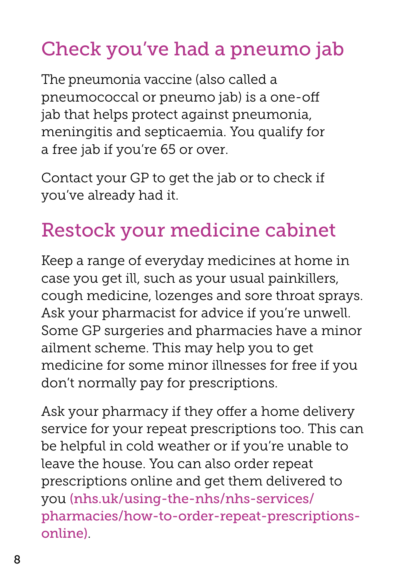### Check you've had a pneumo jab

The pneumonia vaccine (also called a pneumococcal or pneumo jab) is a one-off jab that helps protect against pneumonia, meningitis and septicaemia. You qualify for a free jab if you're 65 or over.

Contact your GP to get the jab or to check if you've already had it.

#### Restock your medicine cabinet

Keep a range of everyday medicines at home in case you get ill, such as your usual painkillers, cough medicine, lozenges and sore throat sprays. Ask your pharmacist for advice if you're unwell. Some GP surgeries and pharmacies have a minor ailment scheme. This may help you to get medicine for some minor illnesses for free if you don't normally pay for prescriptions.

Ask your pharmacy if they offer a home delivery service for your repeat prescriptions too. This can be helpful in cold weather or if you're unable to leave the house. You can also order repeat prescriptions online and get them delivered to you [\(nhs.uk/using-the-nhs/nhs-services/](http://nhs.uk/using-the-nhs/nhs-services/pharmacies/how-to-order-repeat-prescriptions-online) [pharmacies/how-to-order-repeat-prescriptions](http://nhs.uk/using-the-nhs/nhs-services/pharmacies/how-to-order-repeat-prescriptions-online)[online\)](http://nhs.uk/using-the-nhs/nhs-services/pharmacies/how-to-order-repeat-prescriptions-online).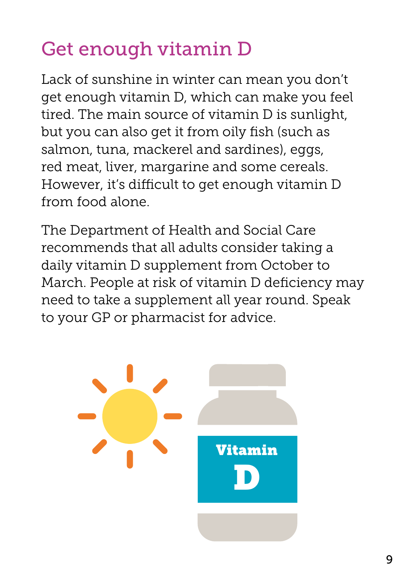# Get enough vitamin D

Lack of sunshine in winter can mean you don't get enough vitamin D, which can make you feel tired. The main source of vitamin D is sunlight, but you can also get it from oily fish (such as salmon, tuna, mackerel and sardines), eggs, red meat, liver, margarine and some cereals. However, it's difficult to get enough vitamin D from food alone.

The Department of Health and Social Care recommends that all adults consider taking a daily vitamin D supplement from October to March. People at risk of vitamin D deficiency may need to take a supplement all year round. Speak to your GP or pharmacist for advice.

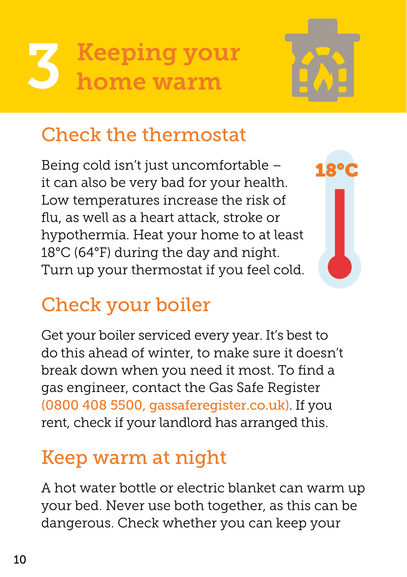<span id="page-11-0"></span>



18°C

#### Check the thermostat

Being cold isn't just uncomfortable – it can also be very bad for your health. Low temperatures increase the risk of flu, as well as a heart attack, stroke or hypothermia. Heat your home to at least 18°C (64°F) during the day and night. Turn up your thermostat if you feel cold.

### Check your boiler

Get your boiler serviced every year. It's best to do this ahead of winter, to make sure it doesn't break down when you need it most. To find a gas engineer, contact the Gas Safe Register (0800 408 5500, [gassaferegister.co.uk](http://gassaferegister.co.uk)). If you rent, check if your landlord has arranged this.

### Keep warm at night

A hot water bottle or electric blanket can warm up your bed. Never use both together, as this can be dangerous. Check whether you can keep your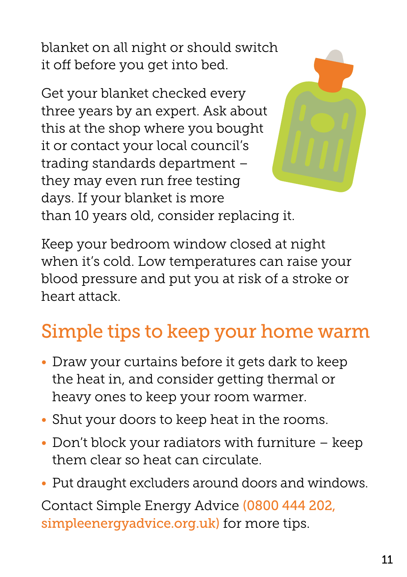blanket on all night or should switch it off before you get into bed.

Get your blanket checked every three years by an expert. Ask about this at the shop where you bought it or contact your local council's trading standards department – they may even run free testing days. If your blanket is more than 10 years old, consider replacing it.



Keep your bedroom window closed at night when it's cold. Low temperatures can raise your blood pressure and put you at risk of a stroke or heart attack.

# Simple tips to keep your home warm

- Draw your curtains before it gets dark to keep the heat in, and consider getting thermal or heavy ones to keep your room warmer.
- Shut your doors to keep heat in the rooms.
- Don't block your radiators with furniture keep them clear so heat can circulate.
- Put draught excluders around doors and windows.

Contact Simple Energy Advice (0800 444 202, [simpleenergyadvice.org.uk](http://simpleenergyadvice.org.uk)) for more tips.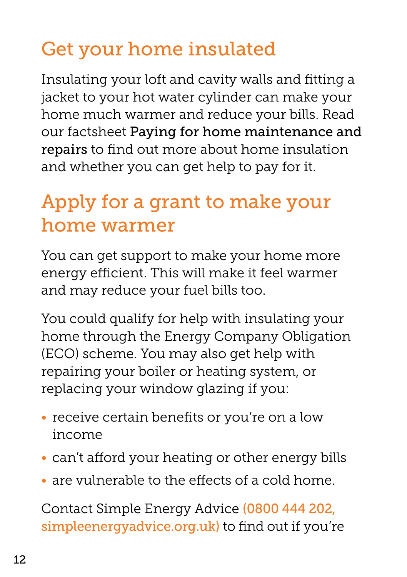# Get your home insulated

Insulating your loft and cavity walls and fitting a jacket to your hot water cylinder can make your home much warmer and reduce your bills. Read our factsheet Paying for home maintenance and repairs to find out more about home insulation and whether you can get help to pay for it.

#### Apply for a grant to make your home warmer

You can get support to make your home more energy efficient. This will make it feel warmer and may reduce your fuel bills too.

You could qualify for help with insulating your home through the Energy Company Obligation (ECO) scheme. You may also get help with repairing your boiler or heating system, or replacing your window glazing if you:

- receive certain benefits or you're on a low income
- can't afford your heating or other energy bills
- are vulnerable to the effects of a cold home.

Contact Simple Energy Advice (0800 444 202, [simpleenergyadvice.org.uk](http://simpleenergyadvice.org.uk)) to find out if you're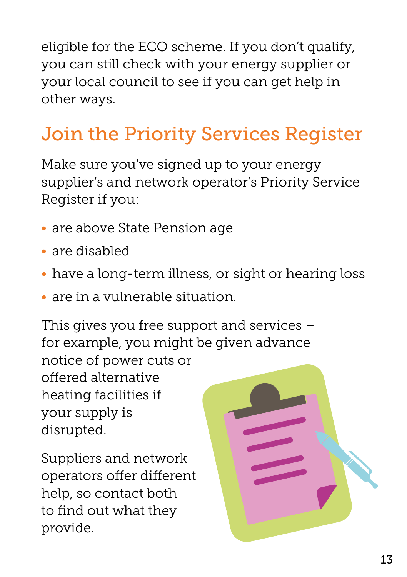eligible for the ECO scheme. If you don't qualify, you can still check with your energy supplier or your local council to see if you can get help in other ways.

### Join the Priority Services Register

Make sure you've signed up to your energy supplier's and network operator's Priority Service Register if you:

- are above State Pension age
- are disabled
- have a long-term illness, or sight or hearing loss
- are in a vulnerable situation.

This gives you free support and services – for example, you might be given advance notice of power cuts or

offered alternative heating facilities if your supply is disrupted.

Suppliers and network operators offer different help, so contact both to find out what they provide.

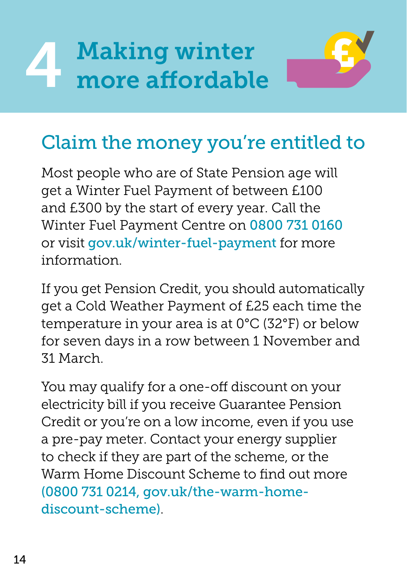# <span id="page-15-0"></span>**Making winter** more affordable



#### Claim the money you're entitled to

Most people who are of State Pension age will get a Winter Fuel Payment of between £100 and £300 by the start of every year. Call the Winter Fuel Payment Centre on 0800 731 0160 or visit [gov.uk/winter-fuel-payment](http://gov.uk/winter-fuel-payment) for more information.

If you get Pension Credit, you should automatically get a Cold Weather Payment of £25 each time the temperature in your area is at 0°C (32°F) or below for seven days in a row between 1 November and 31 March.

You may qualify for a one-off discount on your electricity bill if you receive Guarantee Pension Credit or you're on a low income, even if you use a pre-pay meter. Contact your energy supplier to check if they are part of the scheme, or the Warm Home Discount Scheme to find out more (0800 731 0214, [gov.uk/the-warm-home](http://gov.uk/the-warm-home-discount-scheme)[discount-scheme\)](http://gov.uk/the-warm-home-discount-scheme).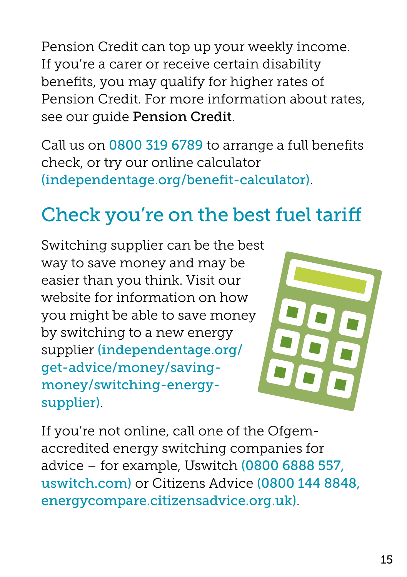Pension Credit can top up your weekly income. If you're a carer or receive certain disability benefits, you may qualify for higher rates of Pension Credit. For more information about rates, see our guide Pension Credit.

Call us on 0800 319 6789 to arrange a full benefits check, or try our online calculator ([independentage.org/benefit-calculator](http://independentage.org/benefit-calculator)).

# Check you're on the best fuel tariff

Switching supplier can be the best way to save money and may be easier than you think. Visit our website for information on how you might be able to save money by switching to a new energy supplier ([independentage.org/](http://independentage.org/get-advice/money/saving-money/switching-energy-supplier) [get-advice/money/saving](http://independentage.org/get-advice/money/saving-money/switching-energy-supplier)[money/switching-energy](http://independentage.org/get-advice/money/saving-money/switching-energy-supplier)[supplier\)](http://independentage.org/get-advice/money/saving-money/switching-energy-supplier)[.](https://www.citizensadvice.org.uk/consumer/energy/energy-supply/get-a-better-energy-deal/switching-energy-supplier/)



If you're not online, call one of the Ofgemaccredited energy switching companies for advice – for example, Uswitch (0800 6888 557, [uswitch.com](http://uswitch.com)) or Citizens Advice (0800 144 8848, [energycompare.citizensadvice.org.uk](http://energycompare.citizensadvice.org.uk)).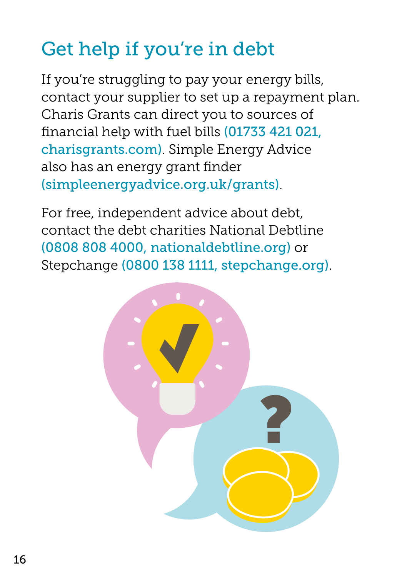# Get help if you're in debt

If you're struggling to pay your energy bills, contact your supplier to set up a repayment plan. Charis Grants can direct you to sources of financial help with fuel bills (01733 421 021, [charisgrants.com\)](http://charisgrants.com). Simple Energy Advice also has an energy grant finder [\(simpleenergyadvice.org.uk/grants\)](https://www.simpleenergyadvice.org.uk/grants).

For free, independent advice about debt, contact the debt charities National Debtline (0808 808 4000, [nationaldebtline.org\)](http://nationaldebtline.org) or Stepchange (0800 138 1111, [stepchange.org\)](http://stepchange.org).

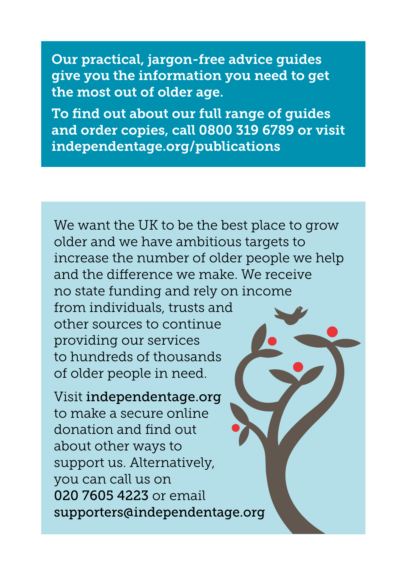Our practical, jargon-free advice guides give you the information you need to get the most out of older age.

To find out about our full range of guides and order copies, call 0800 319 6789 or visit [independentage.org/publications](http://independentage.org/publications)

We want the UK to be the best place to grow older and we have ambitious targets to increase the number of older people we help and the difference we make. We receive no state funding and rely on income from individuals, trusts and other sources to continue providing our services to hundreds of thousands of older people in need.

Visit [independentage.org](http://independentage.org) to make a secure online donation and find out about other ways to support us. Alternatively, you can call us on 020 7605 4223 or email [supporters@independentage.org](mailto:supporters@independentage.org)